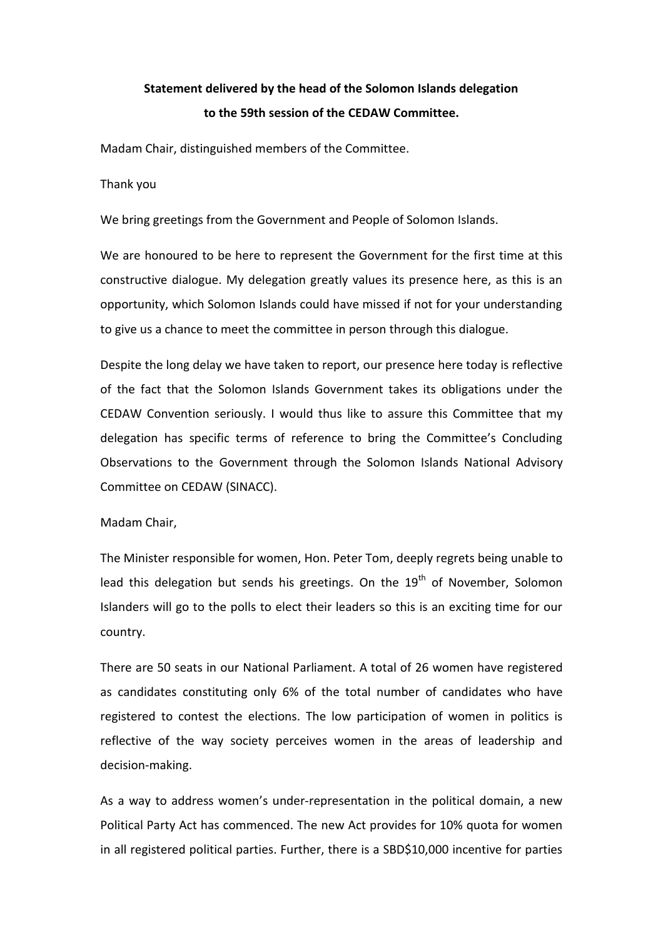# **Statement delivered by the head of the Solomon Islands delegation to the 59th session of the CEDAW Committee.**

Madam Chair, distinguished members of the Committee.

Thank you

We bring greetings from the Government and People of Solomon Islands.

We are honoured to be here to represent the Government for the first time at this constructive dialogue. My delegation greatly values its presence here, as this is an opportunity, which Solomon Islands could have missed if not for your understanding to give us a chance to meet the committee in person through this dialogue.

Despite the long delay we have taken to report, our presence here today is reflective of the fact that the Solomon Islands Government takes its obligations under the CEDAW Convention seriously. I would thus like to assure this Committee that my delegation has specific terms of reference to bring the Committee's Concluding Observations to the Government through the Solomon Islands National Advisory Committee on CEDAW (SINACC).

Madam Chair,

The Minister responsible for women, Hon. Peter Tom, deeply regrets being unable to lead this delegation but sends his greetings. On the  $19<sup>th</sup>$  of November, Solomon Islanders will go to the polls to elect their leaders so this is an exciting time for our country.

There are 50 seats in our National Parliament. A total of 26 women have registered as candidates constituting only 6% of the total number of candidates who have registered to contest the elections. The low participation of women in politics is reflective of the way society perceives women in the areas of leadership and decision-making.

As a way to address women's under-representation in the political domain, a new Political Party Act has commenced. The new Act provides for 10% quota for women in all registered political parties. Further, there is a SBD\$10,000 incentive for parties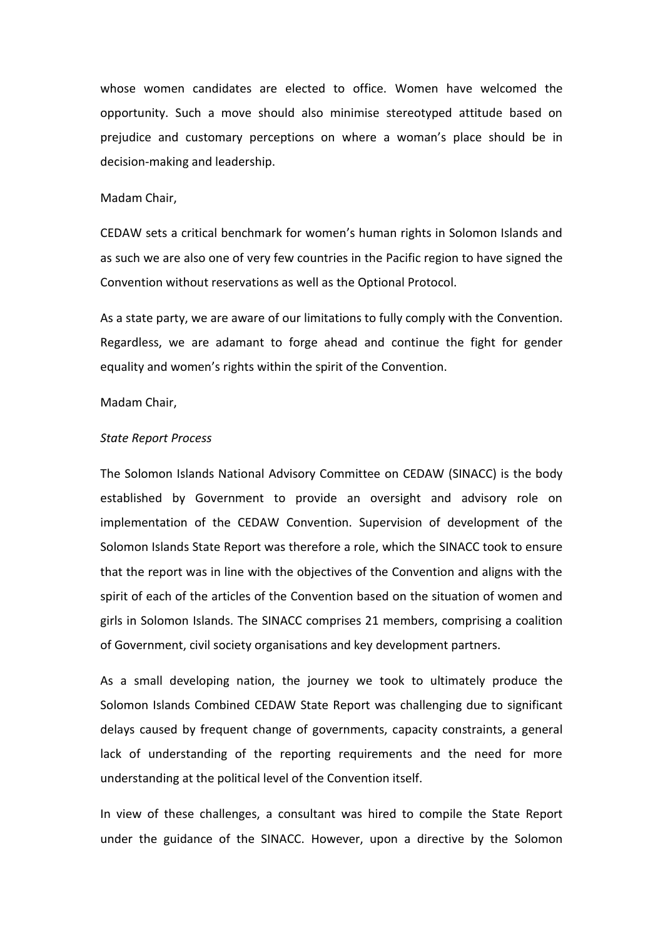whose women candidates are elected to office. Women have welcomed the opportunity. Such a move should also minimise stereotyped attitude based on prejudice and customary perceptions on where a woman's place should be in decision-making and leadership.

# Madam Chair,

CEDAW sets a critical benchmark for women's human rights in Solomon Islands and as such we are also one of very few countries in the Pacific region to have signed the Convention without reservations as well as the Optional Protocol.

As a state party, we are aware of our limitations to fully comply with the Convention. Regardless, we are adamant to forge ahead and continue the fight for gender equality and women's rights within the spirit of the Convention.

#### Madam Chair,

#### *State Report Process*

The Solomon Islands National Advisory Committee on CEDAW (SINACC) is the body established by Government to provide an oversight and advisory role on implementation of the CEDAW Convention. Supervision of development of the Solomon Islands State Report was therefore a role, which the SINACC took to ensure that the report was in line with the objectives of the Convention and aligns with the spirit of each of the articles of the Convention based on the situation of women and girls in Solomon Islands. The SINACC comprises 21 members, comprising a coalition of Government, civil society organisations and key development partners.

As a small developing nation, the journey we took to ultimately produce the Solomon Islands Combined CEDAW State Report was challenging due to significant delays caused by frequent change of governments, capacity constraints, a general lack of understanding of the reporting requirements and the need for more understanding at the political level of the Convention itself.

In view of these challenges, a consultant was hired to compile the State Report under the guidance of the SINACC. However, upon a directive by the Solomon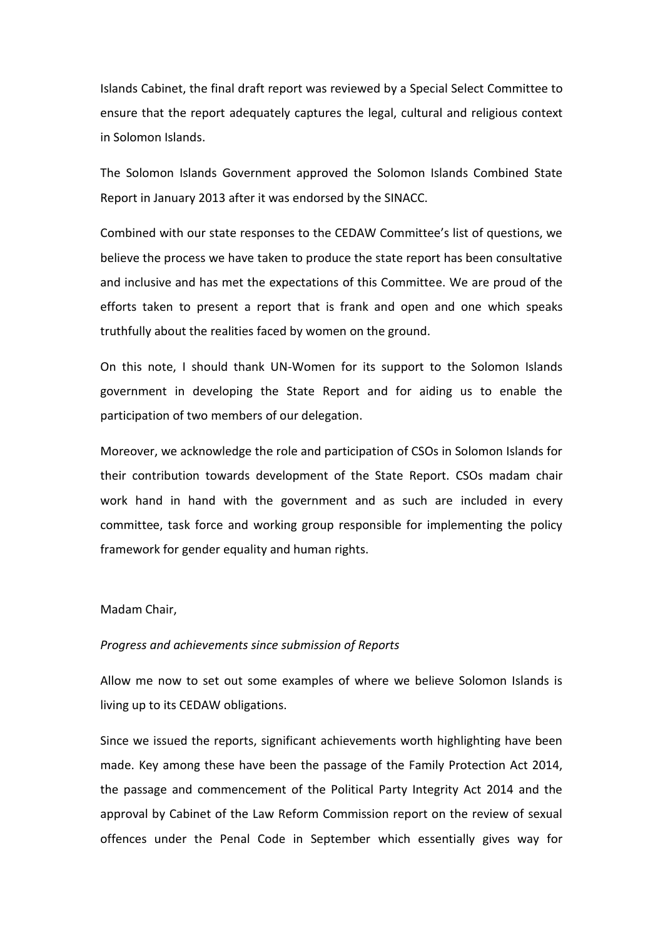Islands Cabinet, the final draft report was reviewed by a Special Select Committee to ensure that the report adequately captures the legal, cultural and religious context in Solomon Islands.

The Solomon Islands Government approved the Solomon Islands Combined State Report in January 2013 after it was endorsed by the SINACC.

Combined with our state responses to the CEDAW Committee's list of questions, we believe the process we have taken to produce the state report has been consultative and inclusive and has met the expectations of this Committee. We are proud of the efforts taken to present a report that is frank and open and one which speaks truthfully about the realities faced by women on the ground.

On this note, I should thank UN-Women for its support to the Solomon Islands government in developing the State Report and for aiding us to enable the participation of two members of our delegation.

Moreover, we acknowledge the role and participation of CSOs in Solomon Islands for their contribution towards development of the State Report. CSOs madam chair work hand in hand with the government and as such are included in every committee, task force and working group responsible for implementing the policy framework for gender equality and human rights.

## Madam Chair,

#### *Progress and achievements since submission of Reports*

Allow me now to set out some examples of where we believe Solomon Islands is living up to its CEDAW obligations.

Since we issued the reports, significant achievements worth highlighting have been made. Key among these have been the passage of the Family Protection Act 2014, the passage and commencement of the Political Party Integrity Act 2014 and the approval by Cabinet of the Law Reform Commission report on the review of sexual offences under the Penal Code in September which essentially gives way for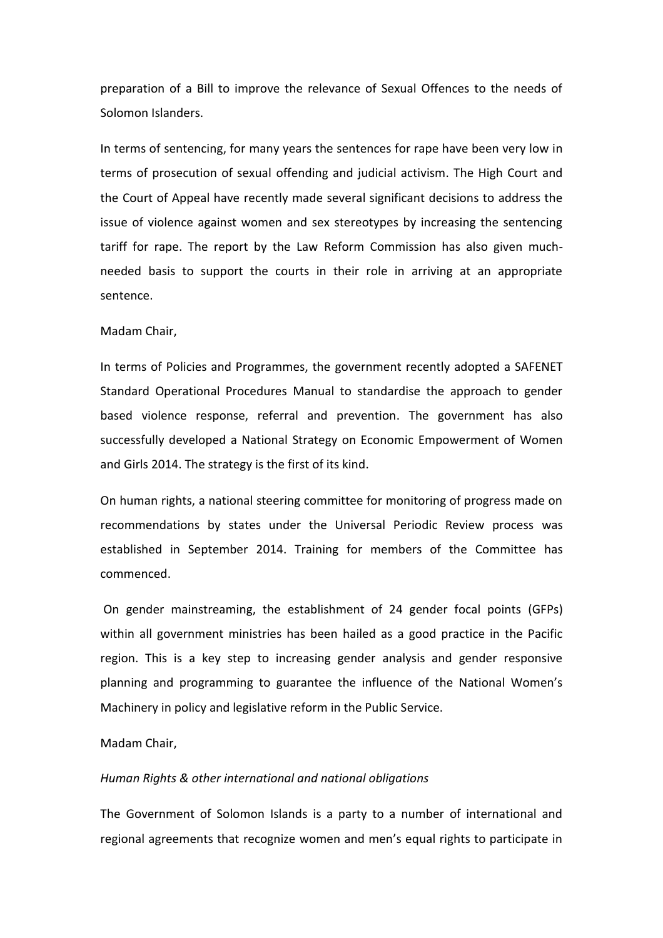preparation of a Bill to improve the relevance of Sexual Offences to the needs of Solomon Islanders.

In terms of sentencing, for many years the sentences for rape have been very low in terms of prosecution of sexual offending and judicial activism. The High Court and the Court of Appeal have recently made several significant decisions to address the issue of violence against women and sex stereotypes by increasing the sentencing tariff for rape. The report by the Law Reform Commission has also given muchneeded basis to support the courts in their role in arriving at an appropriate sentence.

#### Madam Chair,

In terms of Policies and Programmes, the government recently adopted a SAFENET Standard Operational Procedures Manual to standardise the approach to gender based violence response, referral and prevention. The government has also successfully developed a National Strategy on Economic Empowerment of Women and Girls 2014. The strategy is the first of its kind.

On human rights, a national steering committee for monitoring of progress made on recommendations by states under the Universal Periodic Review process was established in September 2014. Training for members of the Committee has commenced.

On gender mainstreaming, the establishment of 24 gender focal points (GFPs) within all government ministries has been hailed as a good practice in the Pacific region. This is a key step to increasing gender analysis and gender responsive planning and programming to guarantee the influence of the National Women's Machinery in policy and legislative reform in the Public Service.

# Madam Chair,

#### *Human Rights & other international and national obligations*

The Government of Solomon Islands is a party to a number of international and regional agreements that recognize women and men's equal rights to participate in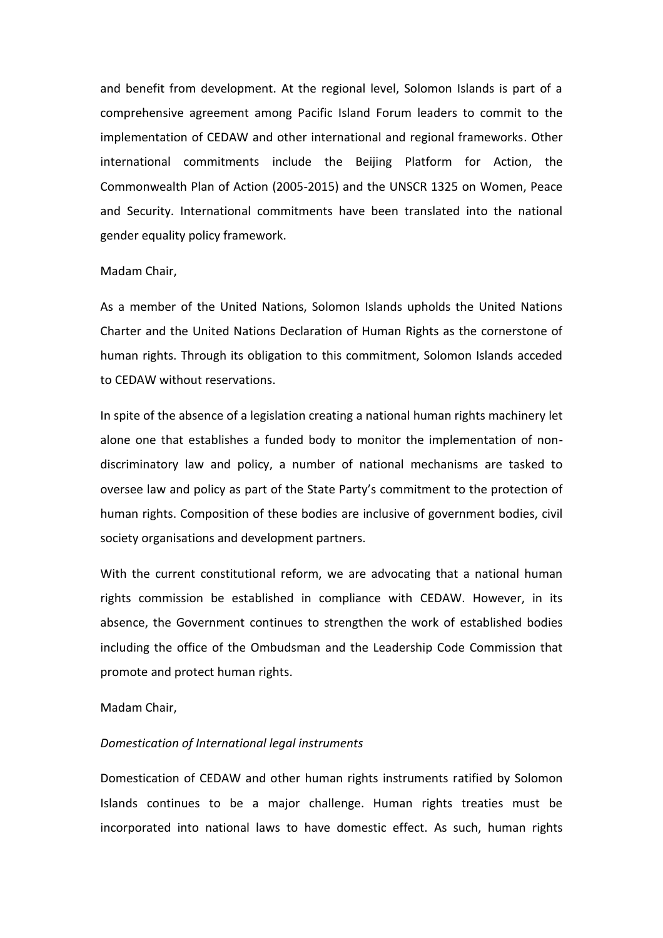and benefit from development. At the regional level, Solomon Islands is part of a comprehensive agreement among Pacific Island Forum leaders to commit to the implementation of CEDAW and other international and regional frameworks. Other international commitments include the Beijing Platform for Action, the Commonwealth Plan of Action (2005-2015) and the UNSCR 1325 on Women, Peace and Security. International commitments have been translated into the national gender equality policy framework.

# Madam Chair,

As a member of the United Nations, Solomon Islands upholds the United Nations Charter and the United Nations Declaration of Human Rights as the cornerstone of human rights. Through its obligation to this commitment, Solomon Islands acceded to CEDAW without reservations.

In spite of the absence of a legislation creating a national human rights machinery let alone one that establishes a funded body to monitor the implementation of nondiscriminatory law and policy, a number of national mechanisms are tasked to oversee law and policy as part of the State Party's commitment to the protection of human rights. Composition of these bodies are inclusive of government bodies, civil society organisations and development partners.

With the current constitutional reform, we are advocating that a national human rights commission be established in compliance with CEDAW. However, in its absence, the Government continues to strengthen the work of established bodies including the office of the Ombudsman and the Leadership Code Commission that promote and protect human rights.

# Madam Chair,

#### *Domestication of International legal instruments*

Domestication of CEDAW and other human rights instruments ratified by Solomon Islands continues to be a major challenge. Human rights treaties must be incorporated into national laws to have domestic effect. As such, human rights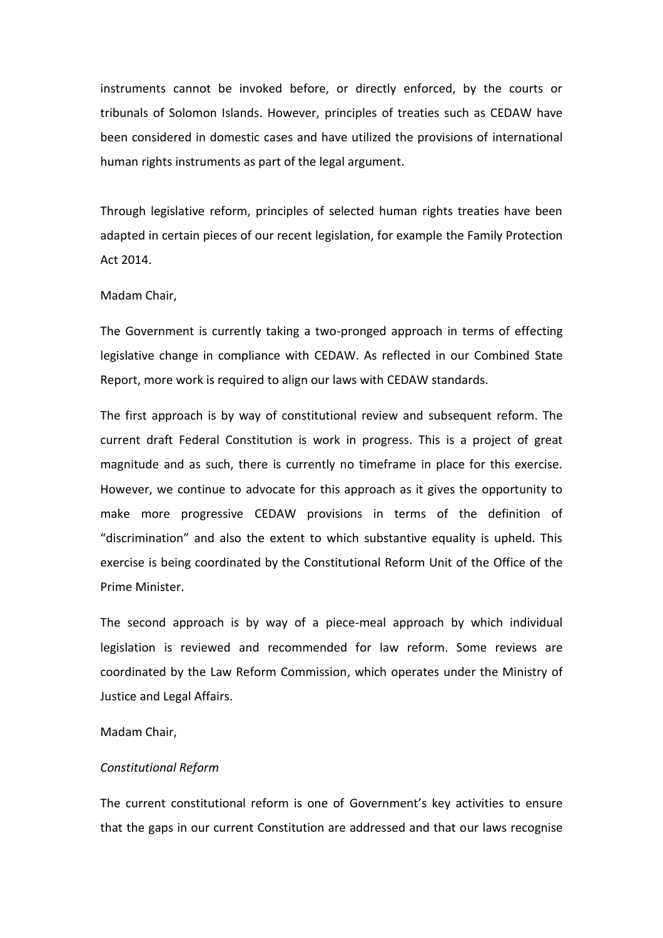instruments cannot be invoked before, or directly enforced, by the courts or tribunals of Solomon Islands. However, principles of treaties such as CEDAW have been considered in domestic cases and have utilized the provisions of international human rights instruments as part of the legal argument.

Through legislative reform, principles of selected human rights treaties have been adapted in certain pieces of our recent legislation, for example the Family Protection Act 2014.

# Madam Chair,

The Government is currently taking a two-pronged approach in terms of effecting legislative change in compliance with CEDAW. As reflected in our Combined State Report, more work is required to align our laws with CEDAW standards.

The first approach is by way of constitutional review and subsequent reform. The current draft Federal Constitution is work in progress. This is a project of great magnitude and as such, there is currently no timeframe in place for this exercise. However, we continue to advocate for this approach as it gives the opportunity to make more progressive CEDAW provisions in terms of the definition of "discrimination" and also the extent to which substantive equality is upheld. This exercise is being coordinated by the Constitutional Reform Unit of the Office of the Prime Minister.

The second approach is by way of a piece-meal approach by which individual legislation is reviewed and recommended for law reform. Some reviews are coordinated by the Law Reform Commission, which operates under the Ministry of Justice and Legal Affairs.

#### Madam Chair,

## *Constitutional Reform*

The current constitutional reform is one of Government's key activities to ensure that the gaps in our current Constitution are addressed and that our laws recognise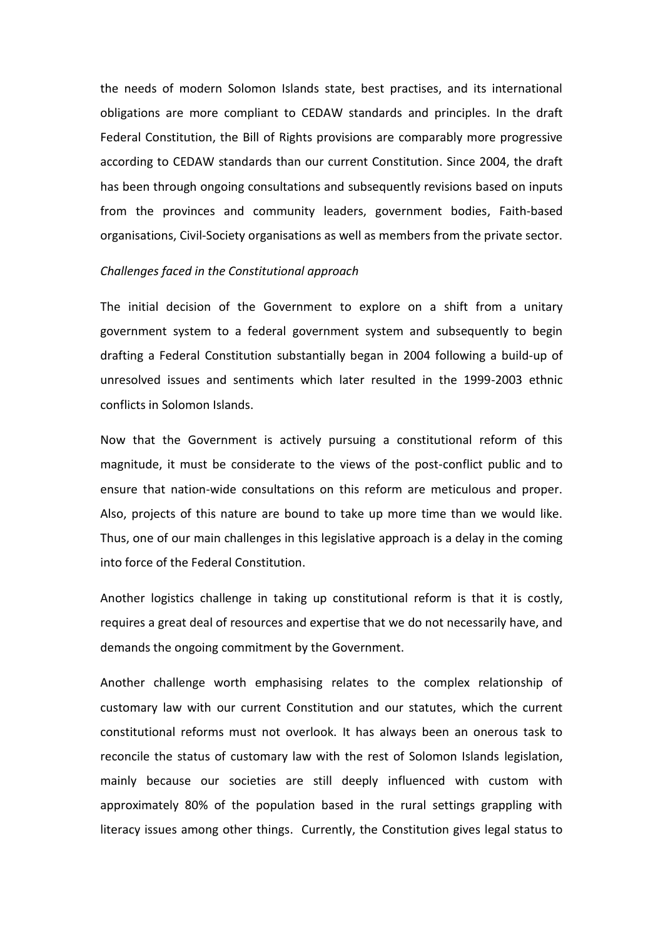the needs of modern Solomon Islands state, best practises, and its international obligations are more compliant to CEDAW standards and principles. In the draft Federal Constitution, the Bill of Rights provisions are comparably more progressive according to CEDAW standards than our current Constitution. Since 2004, the draft has been through ongoing consultations and subsequently revisions based on inputs from the provinces and community leaders, government bodies, Faith-based organisations, Civil-Society organisations as well as members from the private sector.

#### *Challenges faced in the Constitutional approach*

The initial decision of the Government to explore on a shift from a unitary government system to a federal government system and subsequently to begin drafting a Federal Constitution substantially began in 2004 following a build-up of unresolved issues and sentiments which later resulted in the 1999-2003 ethnic conflicts in Solomon Islands.

Now that the Government is actively pursuing a constitutional reform of this magnitude, it must be considerate to the views of the post-conflict public and to ensure that nation-wide consultations on this reform are meticulous and proper. Also, projects of this nature are bound to take up more time than we would like. Thus, one of our main challenges in this legislative approach is a delay in the coming into force of the Federal Constitution.

Another logistics challenge in taking up constitutional reform is that it is costly, requires a great deal of resources and expertise that we do not necessarily have, and demands the ongoing commitment by the Government.

Another challenge worth emphasising relates to the complex relationship of customary law with our current Constitution and our statutes, which the current constitutional reforms must not overlook. It has always been an onerous task to reconcile the status of customary law with the rest of Solomon Islands legislation, mainly because our societies are still deeply influenced with custom with approximately 80% of the population based in the rural settings grappling with literacy issues among other things. Currently, the Constitution gives legal status to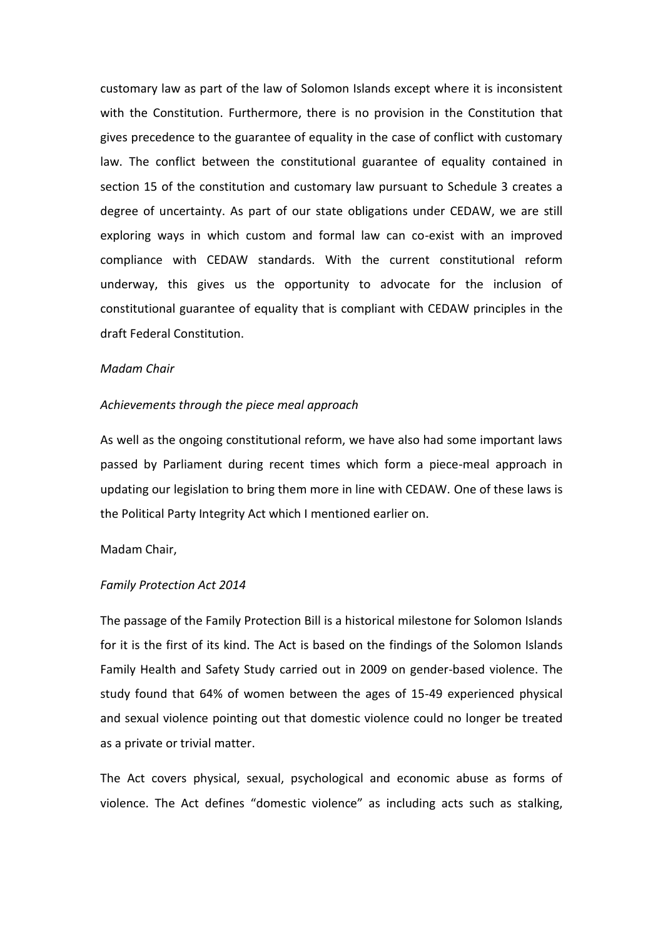customary law as part of the law of Solomon Islands except where it is inconsistent with the Constitution. Furthermore, there is no provision in the Constitution that gives precedence to the guarantee of equality in the case of conflict with customary law. The conflict between the constitutional guarantee of equality contained in section 15 of the constitution and customary law pursuant to Schedule 3 creates a degree of uncertainty. As part of our state obligations under CEDAW, we are still exploring ways in which custom and formal law can co-exist with an improved compliance with CEDAW standards. With the current constitutional reform underway, this gives us the opportunity to advocate for the inclusion of constitutional guarantee of equality that is compliant with CEDAW principles in the draft Federal Constitution.

#### *Madam Chair*

#### *Achievements through the piece meal approach*

As well as the ongoing constitutional reform, we have also had some important laws passed by Parliament during recent times which form a piece-meal approach in updating our legislation to bring them more in line with CEDAW. One of these laws is the Political Party Integrity Act which I mentioned earlier on.

# Madam Chair,

#### *Family Protection Act 2014*

The passage of the Family Protection Bill is a historical milestone for Solomon Islands for it is the first of its kind. The Act is based on the findings of the Solomon Islands Family Health and Safety Study carried out in 2009 on gender-based violence. The study found that 64% of women between the ages of 15-49 experienced physical and sexual violence pointing out that domestic violence could no longer be treated as a private or trivial matter.

The Act covers physical, sexual, psychological and economic abuse as forms of violence. The Act defines "domestic violence" as including acts such as stalking,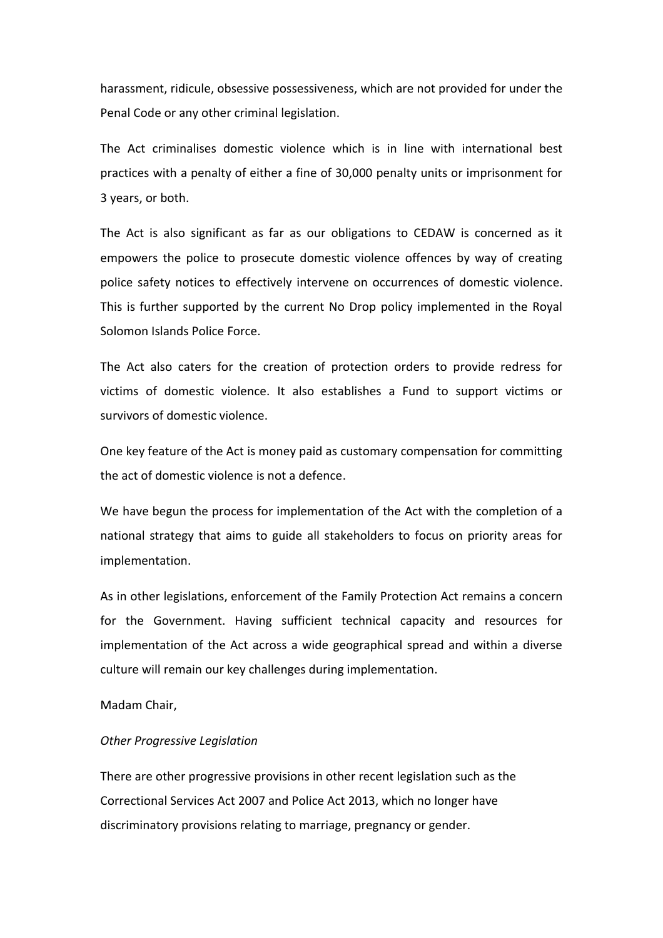harassment, ridicule, obsessive possessiveness, which are not provided for under the Penal Code or any other criminal legislation.

The Act criminalises domestic violence which is in line with international best practices with a penalty of either a fine of 30,000 penalty units or imprisonment for 3 years, or both.

The Act is also significant as far as our obligations to CEDAW is concerned as it empowers the police to prosecute domestic violence offences by way of creating police safety notices to effectively intervene on occurrences of domestic violence. This is further supported by the current No Drop policy implemented in the Royal Solomon Islands Police Force.

The Act also caters for the creation of protection orders to provide redress for victims of domestic violence. It also establishes a Fund to support victims or survivors of domestic violence.

One key feature of the Act is money paid as customary compensation for committing the act of domestic violence is not a defence.

We have begun the process for implementation of the Act with the completion of a national strategy that aims to guide all stakeholders to focus on priority areas for implementation.

As in other legislations, enforcement of the Family Protection Act remains a concern for the Government. Having sufficient technical capacity and resources for implementation of the Act across a wide geographical spread and within a diverse culture will remain our key challenges during implementation.

# Madam Chair,

#### *Other Progressive Legislation*

There are other progressive provisions in other recent legislation such as the Correctional Services Act 2007 and Police Act 2013, which no longer have discriminatory provisions relating to marriage, pregnancy or gender.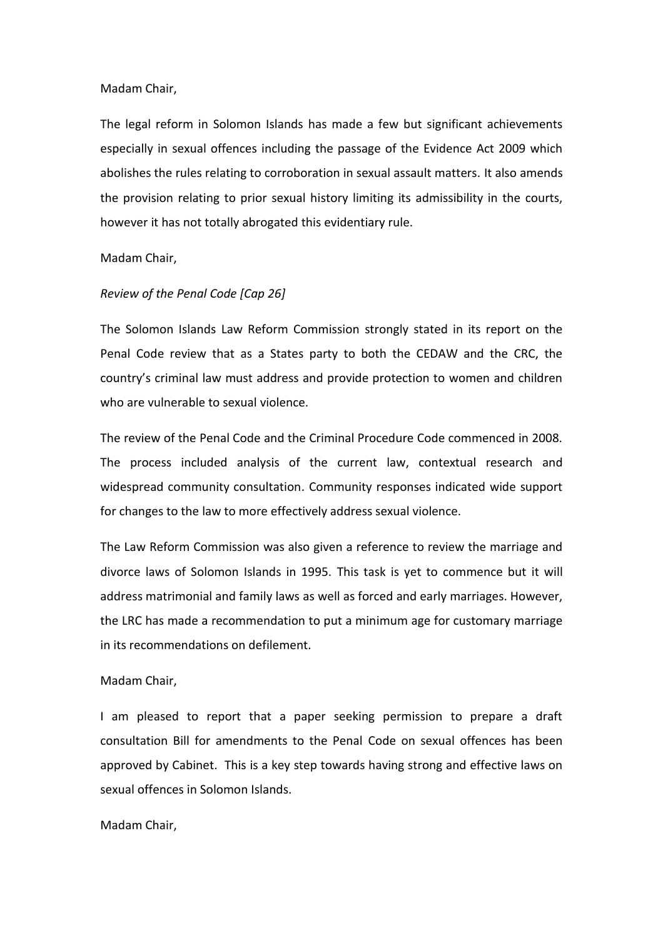# Madam Chair,

The legal reform in Solomon Islands has made a few but significant achievements especially in sexual offences including the passage of the Evidence Act 2009 which abolishes the rules relating to corroboration in sexual assault matters. It also amends the provision relating to prior sexual history limiting its admissibility in the courts, however it has not totally abrogated this evidentiary rule.

# Madam Chair,

# *Review of the Penal Code [Cap 26]*

The Solomon Islands Law Reform Commission strongly stated in its report on the Penal Code review that as a States party to both the CEDAW and the CRC, the country's criminal law must address and provide protection to women and children who are vulnerable to sexual violence.

The review of the Penal Code and the Criminal Procedure Code commenced in 2008. The process included analysis of the current law, contextual research and widespread community consultation. Community responses indicated wide support for changes to the law to more effectively address sexual violence.

The Law Reform Commission was also given a reference to review the marriage and divorce laws of Solomon Islands in 1995. This task is yet to commence but it will address matrimonial and family laws as well as forced and early marriages. However, the LRC has made a recommendation to put a minimum age for customary marriage in its recommendations on defilement.

## Madam Chair,

I am pleased to report that a paper seeking permission to prepare a draft consultation Bill for amendments to the Penal Code on sexual offences has been approved by Cabinet. This is a key step towards having strong and effective laws on sexual offences in Solomon Islands.

# Madam Chair,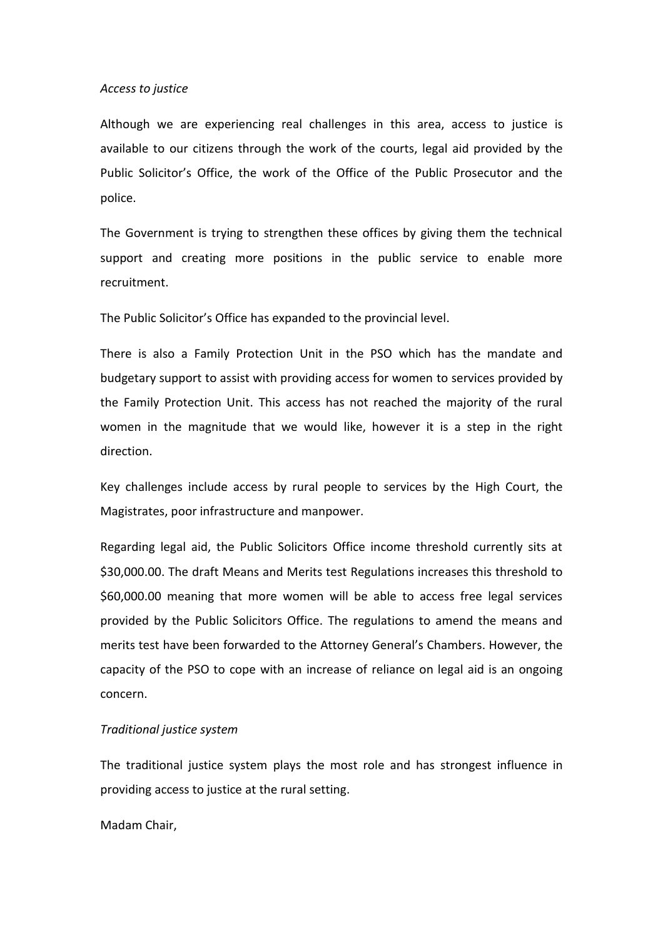#### *Access to justice*

Although we are experiencing real challenges in this area, access to justice is available to our citizens through the work of the courts, legal aid provided by the Public Solicitor's Office, the work of the Office of the Public Prosecutor and the police.

The Government is trying to strengthen these offices by giving them the technical support and creating more positions in the public service to enable more recruitment.

The Public Solicitor's Office has expanded to the provincial level.

There is also a Family Protection Unit in the PSO which has the mandate and budgetary support to assist with providing access for women to services provided by the Family Protection Unit. This access has not reached the majority of the rural women in the magnitude that we would like, however it is a step in the right direction.

Key challenges include access by rural people to services by the High Court, the Magistrates, poor infrastructure and manpower.

Regarding legal aid, the Public Solicitors Office income threshold currently sits at \$30,000.00. The draft Means and Merits test Regulations increases this threshold to \$60,000.00 meaning that more women will be able to access free legal services provided by the Public Solicitors Office. The regulations to amend the means and merits test have been forwarded to the Attorney General's Chambers. However, the capacity of the PSO to cope with an increase of reliance on legal aid is an ongoing concern.

# *Traditional justice system*

The traditional justice system plays the most role and has strongest influence in providing access to justice at the rural setting.

Madam Chair,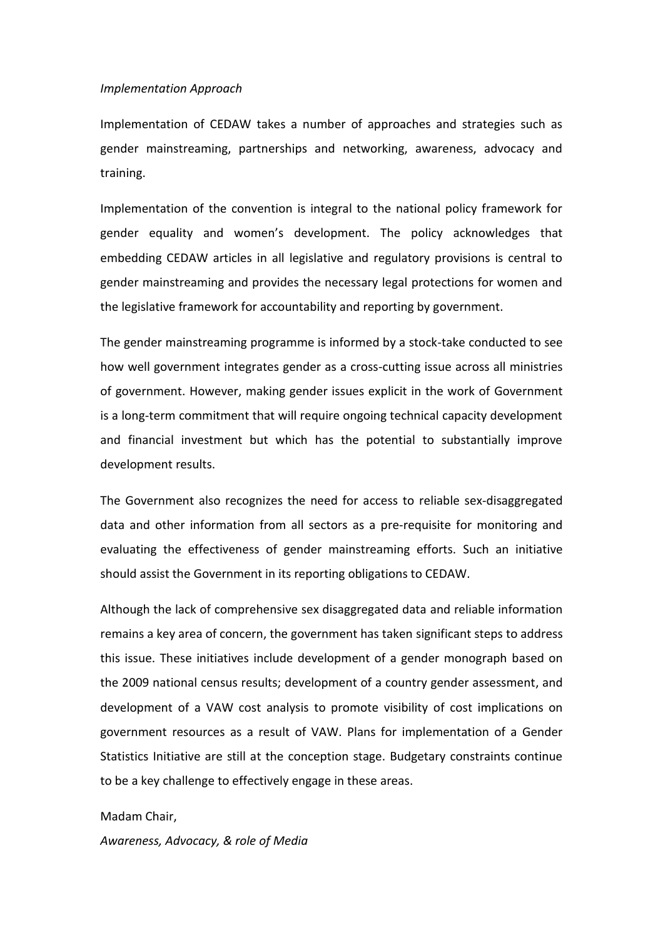# *Implementation Approach*

Implementation of CEDAW takes a number of approaches and strategies such as gender mainstreaming, partnerships and networking, awareness, advocacy and training.

Implementation of the convention is integral to the national policy framework for gender equality and women's development. The policy acknowledges that embedding CEDAW articles in all legislative and regulatory provisions is central to gender mainstreaming and provides the necessary legal protections for women and the legislative framework for accountability and reporting by government.

The gender mainstreaming programme is informed by a stock-take conducted to see how well government integrates gender as a cross-cutting issue across all ministries of government. However, making gender issues explicit in the work of Government is a long-term commitment that will require ongoing technical capacity development and financial investment but which has the potential to substantially improve development results.

The Government also recognizes the need for access to reliable sex-disaggregated data and other information from all sectors as a pre-requisite for monitoring and evaluating the effectiveness of gender mainstreaming efforts. Such an initiative should assist the Government in its reporting obligations to CEDAW.

Although the lack of comprehensive sex disaggregated data and reliable information remains a key area of concern, the government has taken significant steps to address this issue. These initiatives include development of a gender monograph based on the 2009 national census results; development of a country gender assessment, and development of a VAW cost analysis to promote visibility of cost implications on government resources as a result of VAW. Plans for implementation of a Gender Statistics Initiative are still at the conception stage. Budgetary constraints continue to be a key challenge to effectively engage in these areas.

#### Madam Chair,

*Awareness, Advocacy, & role of Media*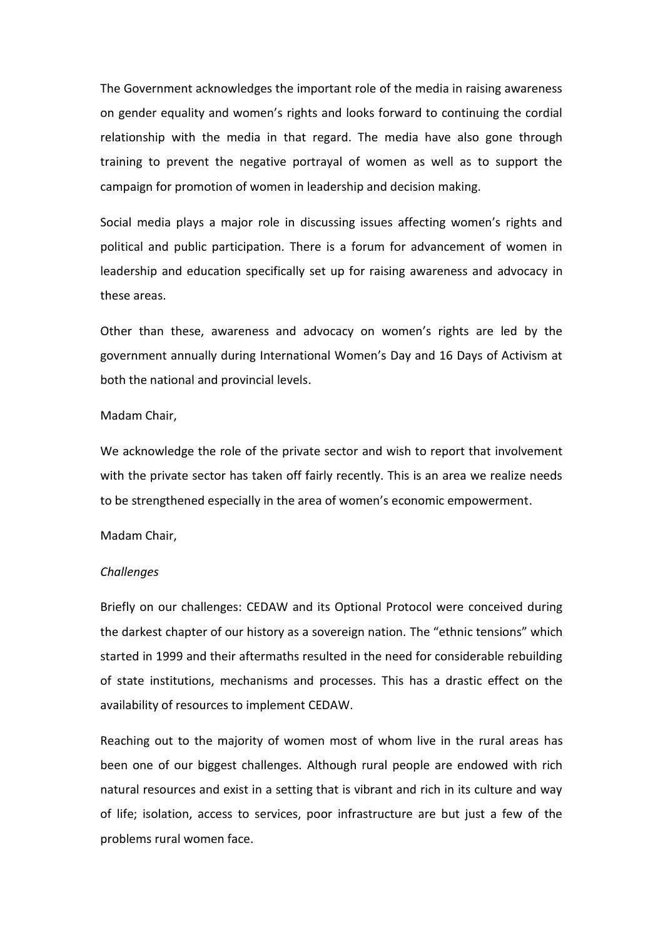The Government acknowledges the important role of the media in raising awareness on gender equality and women's rights and looks forward to continuing the cordial relationship with the media in that regard. The media have also gone through training to prevent the negative portrayal of women as well as to support the campaign for promotion of women in leadership and decision making.

Social media plays a major role in discussing issues affecting women's rights and political and public participation. There is a forum for advancement of women in leadership and education specifically set up for raising awareness and advocacy in these areas.

Other than these, awareness and advocacy on women's rights are led by the government annually during International Women's Day and 16 Days of Activism at both the national and provincial levels.

# Madam Chair,

We acknowledge the role of the private sector and wish to report that involvement with the private sector has taken off fairly recently. This is an area we realize needs to be strengthened especially in the area of women's economic empowerment.

#### Madam Chair,

#### *Challenges*

Briefly on our challenges: CEDAW and its Optional Protocol were conceived during the darkest chapter of our history as a sovereign nation. The "ethnic tensions" which started in 1999 and their aftermaths resulted in the need for considerable rebuilding of state institutions, mechanisms and processes. This has a drastic effect on the availability of resources to implement CEDAW.

Reaching out to the majority of women most of whom live in the rural areas has been one of our biggest challenges. Although rural people are endowed with rich natural resources and exist in a setting that is vibrant and rich in its culture and way of life; isolation, access to services, poor infrastructure are but just a few of the problems rural women face.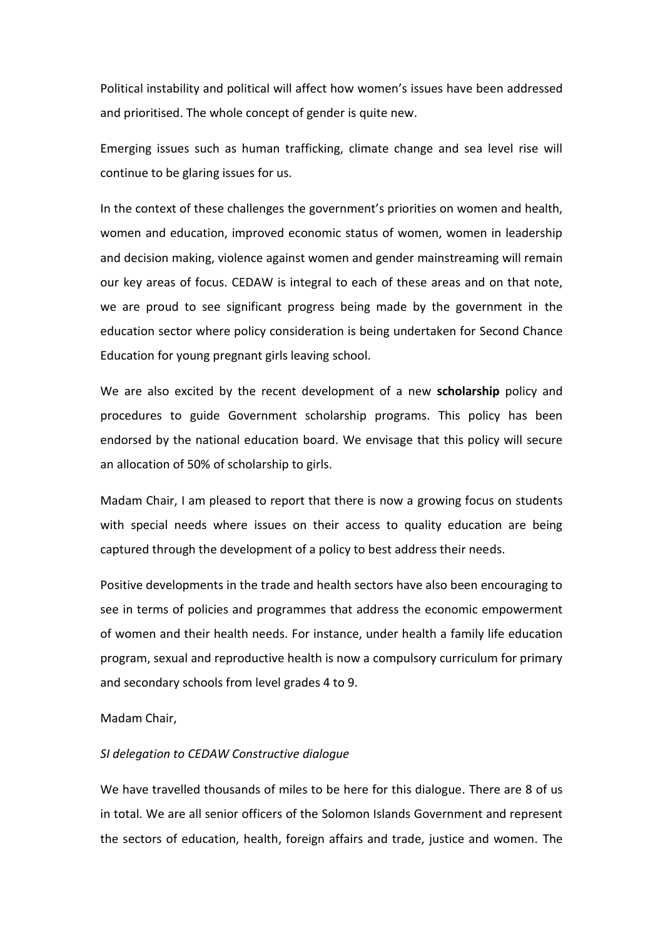Political instability and political will affect how women's issues have been addressed and prioritised. The whole concept of gender is quite new.

Emerging issues such as human trafficking, climate change and sea level rise will continue to be glaring issues for us.

In the context of these challenges the government's priorities on women and health, women and education, improved economic status of women, women in leadership and decision making, violence against women and gender mainstreaming will remain our key areas of focus. CEDAW is integral to each of these areas and on that note, we are proud to see significant progress being made by the government in the education sector where policy consideration is being undertaken for Second Chance Education for young pregnant girls leaving school.

We are also excited by the recent development of a new **scholarship** policy and procedures to guide Government scholarship programs. This policy has been endorsed by the national education board. We envisage that this policy will secure an allocation of 50% of scholarship to girls.

Madam Chair, I am pleased to report that there is now a growing focus on students with special needs where issues on their access to quality education are being captured through the development of a policy to best address their needs.

Positive developments in the trade and health sectors have also been encouraging to see in terms of policies and programmes that address the economic empowerment of women and their health needs. For instance, under health a family life education program, sexual and reproductive health is now a compulsory curriculum for primary and secondary schools from level grades 4 to 9.

# Madam Chair,

#### *SI delegation to CEDAW Constructive dialogue*

We have travelled thousands of miles to be here for this dialogue. There are 8 of us in total. We are all senior officers of the Solomon Islands Government and represent the sectors of education, health, foreign affairs and trade, justice and women. The